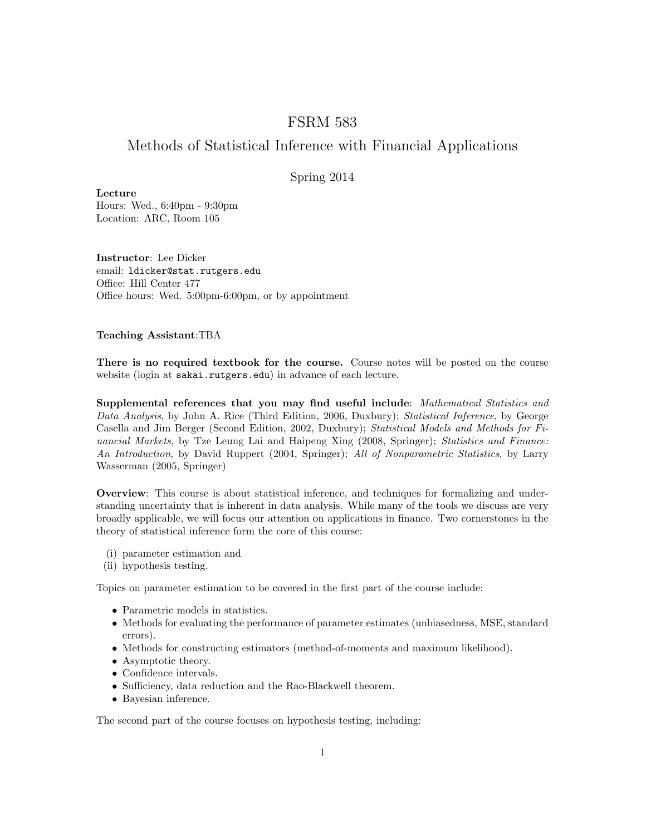## FSRM 583

## Methods of Statistical Inference with Financial Applications

## Spring 2014

Lecture Hours: Wed., 6:40pm - 9:30pm Location: ARC, Room 105

Instructor: Lee Dicker email: ldicker@stat.rutgers.edu Office: Hill Center 477 Office hours: Wed. 5:00pm-6:00pm, or by appointment

## Teaching Assistant:TBA

There is no required textbook for the course. Course notes will be posted on the course website (login at sakai.rutgers.edu) in advance of each lecture.

Supplemental references that you may find useful include: Mathematical Statistics and Data Analysis, by John A. Rice (Third Edition, 2006, Duxbury); Statistical Inference, by George Casella and Jim Berger (Second Edition, 2002, Duxbury); Statistical Models and Methods for Financial Markets, by Tze Leung Lai and Haipeng Xing (2008, Springer); Statistics and Finance: An Introduction, by David Ruppert (2004, Springer); All of Nonparametric Statistics, by Larry Wasserman (2005, Springer)

Overview: This course is about statistical inference, and techniques for formalizing and understanding uncertainty that is inherent in data analysis. While many of the tools we discuss are very broadly applicable, we will focus our attention on applications in finance. Two cornerstones in the theory of statistical inference form the core of this course:

- (i) parameter estimation and
- (ii) hypothesis testing.

Topics on parameter estimation to be covered in the first part of the course include:

- Parametric models in statistics.
- Methods for evaluating the performance of parameter estimates (unbiasedness, MSE, standard errors).
- Methods for constructing estimators (method-of-moments and maximum likelihood).
- Asymptotic theory.
- Confidence intervals.
- Sufficiency, data reduction and the Rao-Blackwell theorem.
- Bayesian inference.

The second part of the course focuses on hypothesis testing, including: